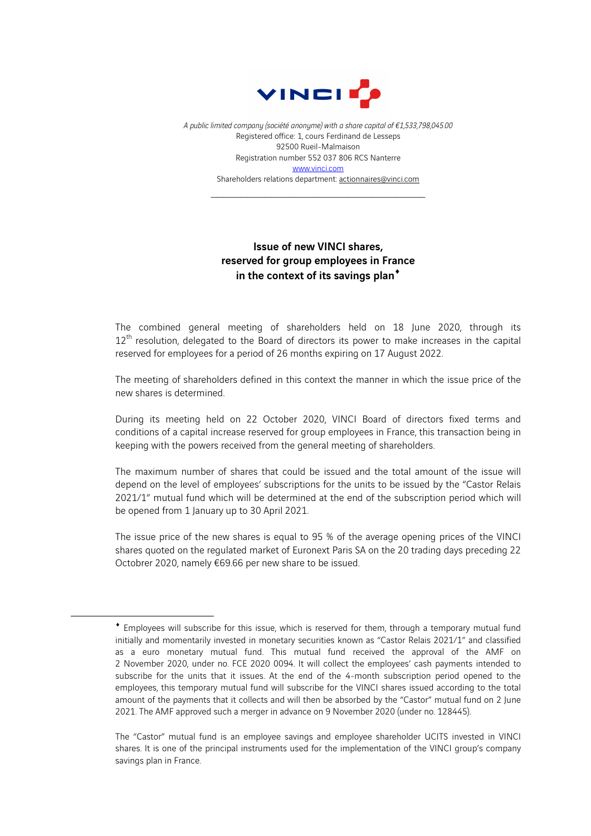

*A public limited company (société anonyme) with a share capital of €1,533,798,045.00* Registered office: 1, cours Ferdinand de Lesseps 92500 Rueil-Malmaison Registration number 552 037 806 RCS Nanterre www.vinci.com Shareholders relations department: actionnaires@vinci.com

\_\_\_\_\_\_\_\_\_\_\_\_\_\_\_\_\_\_\_\_\_\_\_\_\_\_\_\_\_\_\_\_\_\_\_\_

## Issue of new VINCI shares, reserved for group employees in France in the context of its savings plan<sup>\*</sup>

The combined general meeting of shareholders held on 18 June 2020, through its 12<sup>th</sup> resolution, delegated to the Board of directors its power to make increases in the capital reserved for employees for a period of 26 months expiring on 17 August 2022.

The meeting of shareholders defined in this context the manner in which the issue price of the new shares is determined.

During its meeting held on 22 October 2020, VINCI Board of directors fixed terms and conditions of a capital increase reserved for group employees in France, this transaction being in keeping with the powers received from the general meeting of shareholders.

The maximum number of shares that could be issued and the total amount of the issue will depend on the level of employees' subscriptions for the units to be issued by the "Castor Relais 2021/1" mutual fund which will be determined at the end of the subscription period which will be opened from 1 January up to 30 April 2021.

The issue price of the new shares is equal to 95 % of the average opening prices of the VINCI shares quoted on the regulated market of Euronext Paris SA on the 20 trading days preceding 22 Octobrer 2020, namely €69.66 per new share to be issued.

 $\overline{a}$ 

<sup>¨</sup> Employees will subscribe for this issue, which is reserved for them, through a temporary mutual fund initially and momentarily invested in monetary securities known as "Castor Relais 2021/1" and classified as a euro monetary mutual fund. This mutual fund received the approval of the AMF on 2 November 2020, under no. FCE 2020 0094. It will collect the employees' cash payments intended to subscribe for the units that it issues. At the end of the 4-month subscription period opened to the employees, this temporary mutual fund will subscribe for the VINCI shares issued according to the total amount of the payments that it collects and will then be absorbed by the "Castor" mutual fund on 2 June 2021. The AMF approved such a merger in advance on 9 November 2020 (under no. 128445).

The "Castor" mutual fund is an employee savings and employee shareholder UCITS invested in VINCI shares. It is one of the principal instruments used for the implementation of the VINCI group's company savings plan in France.